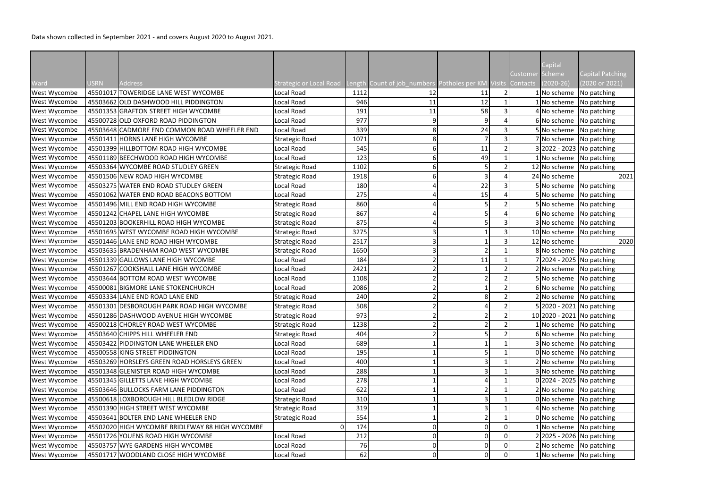|                              |             |                                                 |                                                |              |                                                             |    |                 | Capital                      |                                    |
|------------------------------|-------------|-------------------------------------------------|------------------------------------------------|--------------|-------------------------------------------------------------|----|-----------------|------------------------------|------------------------------------|
| Ward                         | <b>USRN</b> | <b>Address</b>                                  | Strategic or Local Road                        |              | Length Count of job numbers Potholes per KM Visits Contacts |    | Customer Scheme | $(2020 - 26)$                | Capital Patching<br>(2020 or 2021) |
| <b>West Wycombe</b>          |             | 45501017 TOWERIDGE LANE WEST WYCOMBE            | Local Road                                     | 1112         | 12                                                          | 11 |                 | 1 No scheme                  | No patching                        |
| West Wycombe                 |             | 45503662 OLD DASHWOOD HILL PIDDINGTON           | Local Road                                     | 946          | 11                                                          | 12 |                 | 1 No scheme                  | No patching                        |
| <b>West Wycombe</b>          |             | 45501353 GRAFTON STREET HIGH WYCOMBE            | Local Road                                     | 191          | 11                                                          | 58 |                 | 4 No scheme                  | No patching                        |
| West Wycombe                 |             | 45500728 OLD OXFORD ROAD PIDDINGTON             | Local Road                                     | 977          |                                                             |    |                 | 6 No scheme                  | No patching                        |
| West Wycombe                 |             | 45503648 CADMORE END COMMON ROAD WHEELER END    | Local Road                                     | 339          | 8                                                           | 24 |                 | 5 No scheme                  | No patching                        |
| <b>West Wycombe</b>          |             | 45501411 HORNS LANE HIGH WYCOMBE                | <b>Strategic Road</b>                          | 1071         |                                                             |    |                 | 7 No scheme                  | No patching                        |
| West Wycombe                 |             | 45501399 HILLBOTTOM ROAD HIGH WYCOMBE           | Local Road                                     | 545          |                                                             | 11 |                 |                              | 3 2022 - 2023 No patching          |
| <b>West Wycombe</b>          |             | 45501189 BEECHWOOD ROAD HIGH WYCOMBE            | Local Road                                     | 123          |                                                             | 49 |                 | 1 No scheme                  | No patching                        |
| West Wycombe                 |             | 45503364 WYCOMBE ROAD STUDLEY GREEN             | <b>Strategic Road</b>                          | 1102         |                                                             |    |                 | 12 No scheme                 | No patching                        |
| West Wycombe                 |             | 45501506 NEW ROAD HIGH WYCOMBE                  | <b>Strategic Road</b>                          | 1918         |                                                             |    |                 | 24 No scheme                 | 2021                               |
| <b>West Wycombe</b>          |             | 45503275 WATER END ROAD STUDLEY GREEN           | Local Road                                     | 180          |                                                             | 22 |                 | 5 No scheme                  | No patching                        |
| West Wycombe                 |             | 45501062 WATER END ROAD BEACONS BOTTOM          | Local Road                                     | 275          |                                                             | 15 |                 | 5 No scheme                  |                                    |
|                              |             | 45501496 MILL END ROAD HIGH WYCOMBE             |                                                | 860          |                                                             |    |                 | 5 No scheme                  | No patching<br>No patching         |
| West Wycombe<br>West Wycombe |             | 45501242 CHAPEL LANE HIGH WYCOMBE               | <b>Strategic Road</b><br><b>Strategic Road</b> | 867          |                                                             |    |                 | 6 No scheme                  | No patching                        |
|                              |             | 45501203 BOOKERHILL ROAD HIGH WYCOMBE           |                                                | 875          |                                                             |    |                 | 3 No scheme                  |                                    |
| West Wycombe                 |             |                                                 | <b>Strategic Road</b>                          |              |                                                             |    |                 |                              | No patching                        |
| <b>West Wycombe</b>          |             | 45501695 WEST WYCOMBE ROAD HIGH WYCOMBE         | <b>Strategic Road</b>                          | 3275<br>2517 |                                                             |    |                 | 10 No scheme<br>12 No scheme | No patching                        |
| West Wycombe                 |             | 45501446 LANE END ROAD HIGH WYCOMBE             | <b>Strategic Road</b>                          |              |                                                             |    |                 |                              | 2020                               |
| West Wycombe                 |             | 45503635 BRADENHAM ROAD WEST WYCOMBE            | <b>Strategic Road</b>                          | 1650         |                                                             |    |                 | 8 No scheme                  | No patching                        |
| West Wycombe                 |             | 45501339 GALLOWS LANE HIGH WYCOMBE              | Local Road                                     | 184          |                                                             | 11 |                 |                              | 7 2024 - 2025 No patching          |
| West Wycombe                 |             | 45501267 COOKSHALL LANE HIGH WYCOMBE            | Local Road                                     | 2421         |                                                             |    |                 | 2 No scheme                  | No patching                        |
| <b>West Wycombe</b>          |             | 45503644 BOTTOM ROAD WEST WYCOMBE               | Local Road                                     | 1108         |                                                             |    |                 | 5 No scheme                  | No patching                        |
| <b>West Wycombe</b>          |             | 45500081 BIGMORE LANE STOKENCHURCH              | Local Road                                     | 2086         |                                                             |    |                 | 6 No scheme                  | No patching                        |
| <b>West Wycombe</b>          |             | 45503334 LANE END ROAD LANE END                 | <b>Strategic Road</b>                          | 240          |                                                             |    |                 | 2 No scheme                  | No patching                        |
| West Wycombe                 |             | 45501301 DESBOROUGH PARK ROAD HIGH WYCOMBE      | <b>Strategic Road</b>                          | 508          |                                                             |    |                 | 5 2020 - 2021 No patching    |                                    |
| West Wycombe                 |             | 45501286 DASHWOOD AVENUE HIGH WYCOMBE           | Strategic Road                                 | 973          |                                                             |    |                 |                              | 10 2020 - 2021 No patching         |
| <b>West Wycombe</b>          |             | 45500218 CHORLEY ROAD WEST WYCOMBE              | <b>Strategic Road</b>                          | 1238         |                                                             |    |                 | 1 No scheme                  | No patching                        |
| <b>West Wycombe</b>          |             | 45503640 CHIPPS HILL WHEELER END                | Strategic Road                                 | 404          |                                                             |    |                 | 6 No scheme                  | No patching                        |
| <b>West Wycombe</b>          |             | 45503422 PIDDINGTON LANE WHEELER END            | Local Road                                     | 689          |                                                             |    |                 | 3 No scheme                  | No patching                        |
| <b>West Wycombe</b>          |             | 45500558 KING STREET PIDDINGTON                 | Local Road                                     | 195          |                                                             |    |                 | 0 No scheme                  | No patching                        |
| West Wycombe                 |             | 45503269 HORSLEYS GREEN ROAD HORSLEYS GREEN     | Local Road                                     | 400          |                                                             |    |                 | 2 No scheme                  | No patching                        |
| <b>West Wycombe</b>          |             | 45501348 GLENISTER ROAD HIGH WYCOMBE            | Local Road                                     | 288          |                                                             |    |                 | 3 No scheme                  | No patching                        |
| <b>West Wycombe</b>          |             | 45501345 GILLETTS LANE HIGH WYCOMBE             | Local Road                                     | 278          |                                                             |    |                 |                              | $0 2024 - 2025 $ No patching       |
| West Wycombe                 |             | 45503646 BULLOCKS FARM LANE PIDDINGTON          | Local Road                                     | 622          |                                                             |    |                 | 2 No scheme                  | No patching                        |
| West Wycombe                 |             | 45500618 LOXBOROUGH HILL BLEDLOW RIDGE          | <b>Strategic Road</b>                          | 310          |                                                             |    |                 | 0 No scheme                  | No patching                        |
| West Wycombe                 |             | 45501390 HIGH STREET WEST WYCOMBE               | Strategic Road                                 | 319          |                                                             |    |                 | 4 No scheme                  | No patching                        |
| <b>West Wycombe</b>          |             | 45503641 BOLTER END LANE WHEELER END            | <b>Strategic Road</b>                          | 554          |                                                             |    |                 | 0 No scheme                  | No patching                        |
| <b>West Wycombe</b>          |             | 45502020 HIGH WYCOMBE BRIDLEWAY 88 HIGH WYCOMBE | $\Omega$                                       | 174          |                                                             |    |                 | 1 No scheme                  | No patching                        |
| West Wycombe                 |             | 45501726 YOUENS ROAD HIGH WYCOMBE               | Local Road                                     | 212          |                                                             |    |                 |                              | 2 2025 - 2026   No patching        |
| West Wycombe                 |             | 45503757 WYE GARDENS HIGH WYCOMBE               | Local Road                                     | 76           |                                                             |    |                 | 2 No scheme                  | No patching                        |
| West Wycombe                 |             | 45501717 WOODLAND CLOSE HIGH WYCOMBE            | Local Road                                     | 62           |                                                             |    |                 | 1 No scheme                  | No patching                        |